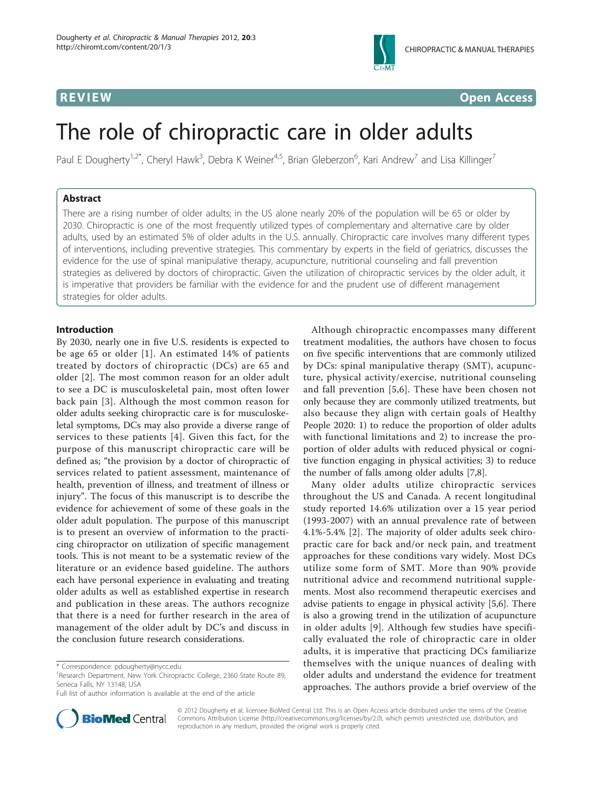



# The role of chiropractic care in older adults

Paul E Dougherty<sup>1,2\*</sup>, Cheryl Hawk<sup>3</sup>, Debra K Weiner<sup>4,5</sup>, Brian Gleberzon<sup>6</sup>, Kari Andrew<sup>7</sup> and Lisa Killinger<sup>7</sup>

# Abstract

There are a rising number of older adults; in the US alone nearly 20% of the population will be 65 or older by 2030. Chiropractic is one of the most frequently utilized types of complementary and alternative care by older adults, used by an estimated 5% of older adults in the U.S. annually. Chiropractic care involves many different types of interventions, including preventive strategies. This commentary by experts in the field of geriatrics, discusses the evidence for the use of spinal manipulative therapy, acupuncture, nutritional counseling and fall prevention strategies as delivered by doctors of chiropractic. Given the utilization of chiropractic services by the older adult, it is imperative that providers be familiar with the evidence for and the prudent use of different management strategies for older adults.

# Introduction

By 2030, nearly one in five U.S. residents is expected to be age 65 or older [\[1\]](#page-6-0). An estimated 14% of patients treated by doctors of chiropractic (DCs) are 65 and older [[2](#page-6-0)]. The most common reason for an older adult to see a DC is musculoskeletal pain, most often lower back pain [\[3\]](#page-6-0). Although the most common reason for older adults seeking chiropractic care is for musculoskeletal symptoms, DCs may also provide a diverse range of services to these patients [[4](#page-6-0)]. Given this fact, for the purpose of this manuscript chiropractic care will be defined as; "the provision by a doctor of chiropractic of services related to patient assessment, maintenance of health, prevention of illness, and treatment of illness or injury". The focus of this manuscript is to describe the evidence for achievement of some of these goals in the older adult population. The purpose of this manuscript is to present an overview of information to the practicing chiropractor on utilization of specific management tools. This is not meant to be a systematic review of the literature or an evidence based guideline. The authors each have personal experience in evaluating and treating older adults as well as established expertise in research and publication in these areas. The authors recognize that there is a need for further research in the area of management of the older adult by DC's and discuss in the conclusion future research considerations.



Many older adults utilize chiropractic services throughout the US and Canada. A recent longitudinal study reported 14.6% utilization over a 15 year period (1993-2007) with an annual prevalence rate of between 4.1%-5.4% [[2\]](#page-6-0). The majority of older adults seek chiropractic care for back and/or neck pain, and treatment approaches for these conditions vary widely. Most DCs utilize some form of SMT. More than 90% provide nutritional advice and recommend nutritional supplements. Most also recommend therapeutic exercises and advise patients to engage in physical activity [[5,6\]](#page-6-0). There is also a growing trend in the utilization of acupuncture in older adults [[9](#page-6-0)]. Although few studies have specifically evaluated the role of chiropractic care in older adults, it is imperative that practicing DCs familiarize themselves with the unique nuances of dealing with older adults and understand the evidence for treatment approaches. The authors provide a brief overview of the



© 2012 Dougherty et al; licensee BioMed Central Ltd. This is an Open Access article distributed under the terms of the Creative Commons Attribution License [\(http://creativecommons.org/licenses/by/2.0](http://creativecommons.org/licenses/by/2.0)), which permits unrestricted use, distribution, and reproduction in any medium, provided the original work is properly cited.

<sup>\*</sup> Correspondence: [pdougherty@nycc.edu](mailto:pdougherty@nycc.edu)

<sup>&</sup>lt;sup>1</sup> Research Department, New York Chiropractic College, 2360 State Route 89, Seneca Falls, NY 13148, USA

Full list of author information is available at the end of the article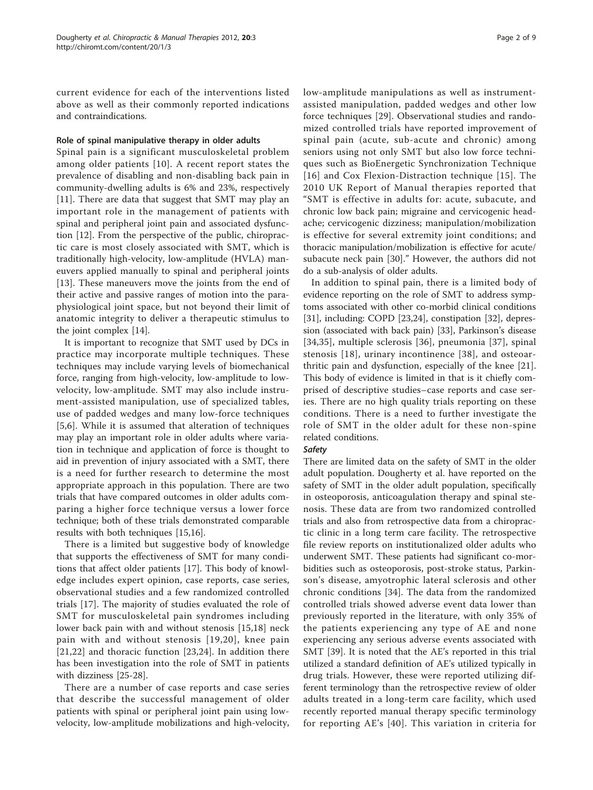current evidence for each of the interventions listed above as well as their commonly reported indications and contraindications.

## Role of spinal manipulative therapy in older adults

Spinal pain is a significant musculoskeletal problem among older patients [[10](#page-6-0)]. A recent report states the prevalence of disabling and non-disabling back pain in community-dwelling adults is 6% and 23%, respectively [[11\]](#page-6-0). There are data that suggest that SMT may play an important role in the management of patients with spinal and peripheral joint pain and associated dysfunction [[12](#page-6-0)]. From the perspective of the public, chiropractic care is most closely associated with SMT, which is traditionally high-velocity, low-amplitude (HVLA) maneuvers applied manually to spinal and peripheral joints [[13\]](#page-6-0). These maneuvers move the joints from the end of their active and passive ranges of motion into the paraphysiological joint space, but not beyond their limit of anatomic integrity to deliver a therapeutic stimulus to the joint complex [\[14](#page-6-0)].

It is important to recognize that SMT used by DCs in practice may incorporate multiple techniques. These techniques may include varying levels of biomechanical force, ranging from high-velocity, low-amplitude to lowvelocity, low-amplitude. SMT may also include instrument-assisted manipulation, use of specialized tables, use of padded wedges and many low-force techniques [[5,6](#page-6-0)]. While it is assumed that alteration of techniques may play an important role in older adults where variation in technique and application of force is thought to aid in prevention of injury associated with a SMT, there is a need for further research to determine the most appropriate approach in this population. There are two trials that have compared outcomes in older adults comparing a higher force technique versus a lower force technique; both of these trials demonstrated comparable results with both techniques [[15,16](#page-6-0)].

There is a limited but suggestive body of knowledge that supports the effectiveness of SMT for many conditions that affect older patients [[17\]](#page-6-0). This body of knowledge includes expert opinion, case reports, case series, observational studies and a few randomized controlled trials [[17\]](#page-6-0). The majority of studies evaluated the role of SMT for musculoskeletal pain syndromes including lower back pain with and without stenosis [\[15](#page-6-0),[18\]](#page-6-0) neck pain with and without stenosis [[19](#page-6-0),[20\]](#page-6-0), knee pain [[21,22](#page-6-0)] and thoracic function [\[23](#page-6-0),[24\]](#page-6-0). In addition there has been investigation into the role of SMT in patients with dizziness [\[25](#page-7-0)-[28](#page-7-0)].

There are a number of case reports and case series that describe the successful management of older patients with spinal or peripheral joint pain using lowvelocity, low-amplitude mobilizations and high-velocity, low-amplitude manipulations as well as instrumentassisted manipulation, padded wedges and other low force techniques [\[29](#page-7-0)]. Observational studies and randomized controlled trials have reported improvement of spinal pain (acute, sub-acute and chronic) among seniors using not only SMT but also low force techniques such as BioEnergetic Synchronization Technique [[16](#page-6-0)] and Cox Flexion-Distraction technique [[15\]](#page-6-0). The 2010 UK Report of Manual therapies reported that "SMT is effective in adults for: acute, subacute, and chronic low back pain; migraine and cervicogenic headache; cervicogenic dizziness; manipulation/mobilization is effective for several extremity joint conditions; and thoracic manipulation/mobilization is effective for acute/ subacute neck pain [[30\]](#page-7-0)." However, the authors did not do a sub-analysis of older adults.

In addition to spinal pain, there is a limited body of evidence reporting on the role of SMT to address symptoms associated with other co-morbid clinical conditions [[31\]](#page-7-0), including: COPD [\[23,24\]](#page-6-0), constipation [[32\]](#page-7-0), depression (associated with back pain) [\[33](#page-7-0)], Parkinson's disease [[34](#page-7-0),[35\]](#page-7-0), multiple sclerosis [[36](#page-7-0)], pneumonia [[37\]](#page-7-0), spinal stenosis [[18](#page-6-0)], urinary incontinence [[38](#page-7-0)], and osteoarthritic pain and dysfunction, especially of the knee [\[21](#page-6-0)]. This body of evidence is limited in that is it chiefly comprised of descriptive studies–case reports and case series. There are no high quality trials reporting on these conditions. There is a need to further investigate the role of SMT in the older adult for these non-spine related conditions.

# **Safety**

There are limited data on the safety of SMT in the older adult population. Dougherty et al. have reported on the safety of SMT in the older adult population, specifically in osteoporosis, anticoagulation therapy and spinal stenosis. These data are from two randomized controlled trials and also from retrospective data from a chiropractic clinic in a long term care facility. The retrospective file review reports on institutionalized older adults who underwent SMT. These patients had significant co-morbidities such as osteoporosis, post-stroke status, Parkinson's disease, amyotrophic lateral sclerosis and other chronic conditions [[34\]](#page-7-0). The data from the randomized controlled trials showed adverse event data lower than previously reported in the literature, with only 35% of the patients experiencing any type of AE and none experiencing any serious adverse events associated with SMT [[39\]](#page-7-0). It is noted that the AE's reported in this trial utilized a standard definition of AE's utilized typically in drug trials. However, these were reported utilizing different terminology than the retrospective review of older adults treated in a long-term care facility, which used recently reported manual therapy specific terminology for reporting AE's [[40](#page-7-0)]. This variation in criteria for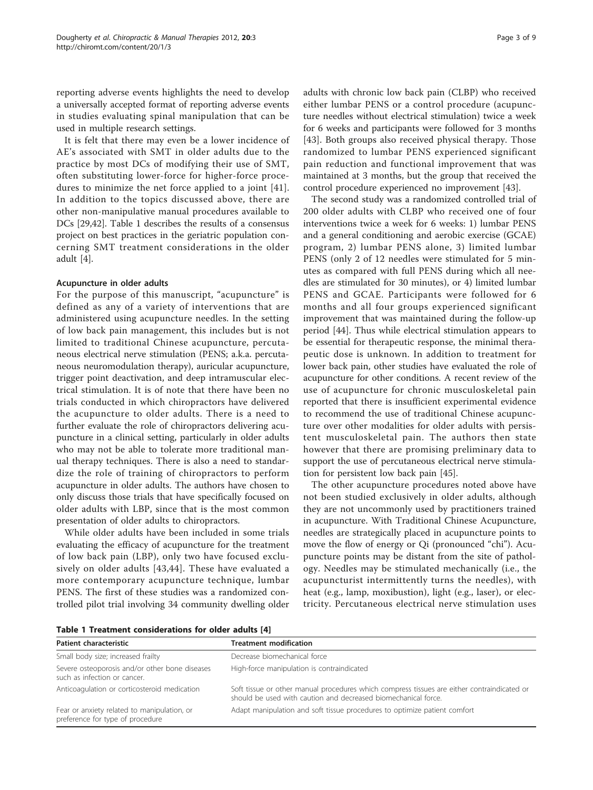reporting adverse events highlights the need to develop a universally accepted format of reporting adverse events in studies evaluating spinal manipulation that can be used in multiple research settings.

It is felt that there may even be a lower incidence of AE's associated with SMT in older adults due to the practice by most DCs of modifying their use of SMT, often substituting lower-force for higher-force procedures to minimize the net force applied to a joint [[41](#page-7-0)]. In addition to the topics discussed above, there are other non-manipulative manual procedures available to DCs [[29,42](#page-7-0)]. Table 1 describes the results of a consensus project on best practices in the geriatric population concerning SMT treatment considerations in the older adult [[4](#page-6-0)].

## Acupuncture in older adults

For the purpose of this manuscript, "acupuncture" is defined as any of a variety of interventions that are administered using acupuncture needles. In the setting of low back pain management, this includes but is not limited to traditional Chinese acupuncture, percutaneous electrical nerve stimulation (PENS; a.k.a. percutaneous neuromodulation therapy), auricular acupuncture, trigger point deactivation, and deep intramuscular electrical stimulation. It is of note that there have been no trials conducted in which chiropractors have delivered the acupuncture to older adults. There is a need to further evaluate the role of chiropractors delivering acupuncture in a clinical setting, particularly in older adults who may not be able to tolerate more traditional manual therapy techniques. There is also a need to standardize the role of training of chiropractors to perform acupuncture in older adults. The authors have chosen to only discuss those trials that have specifically focused on older adults with LBP, since that is the most common presentation of older adults to chiropractors.

While older adults have been included in some trials evaluating the efficacy of acupuncture for the treatment of low back pain (LBP), only two have focused exclusively on older adults [[43,44](#page-7-0)]. These have evaluated a more contemporary acupuncture technique, lumbar PENS. The first of these studies was a randomized controlled pilot trial involving 34 community dwelling older adults with chronic low back pain (CLBP) who received either lumbar PENS or a control procedure (acupuncture needles without electrical stimulation) twice a week for 6 weeks and participants were followed for 3 months [[43](#page-7-0)]. Both groups also received physical therapy. Those randomized to lumbar PENS experienced significant pain reduction and functional improvement that was maintained at 3 months, but the group that received the control procedure experienced no improvement [\[43\]](#page-7-0).

The second study was a randomized controlled trial of 200 older adults with CLBP who received one of four interventions twice a week for 6 weeks: 1) lumbar PENS and a general conditioning and aerobic exercise (GCAE) program, 2) lumbar PENS alone, 3) limited lumbar PENS (only 2 of 12 needles were stimulated for 5 minutes as compared with full PENS during which all needles are stimulated for 30 minutes), or 4) limited lumbar PENS and GCAE. Participants were followed for 6 months and all four groups experienced significant improvement that was maintained during the follow-up period [[44](#page-7-0)]. Thus while electrical stimulation appears to be essential for therapeutic response, the minimal therapeutic dose is unknown. In addition to treatment for lower back pain, other studies have evaluated the role of acupuncture for other conditions. A recent review of the use of acupuncture for chronic musculoskeletal pain reported that there is insufficient experimental evidence to recommend the use of traditional Chinese acupuncture over other modalities for older adults with persistent musculoskeletal pain. The authors then state however that there are promising preliminary data to support the use of percutaneous electrical nerve stimulation for persistent low back pain [\[45\]](#page-7-0).

The other acupuncture procedures noted above have not been studied exclusively in older adults, although they are not uncommonly used by practitioners trained in acupuncture. With Traditional Chinese Acupuncture, needles are strategically placed in acupuncture points to move the flow of energy or Qi (pronounced "chi"). Acupuncture points may be distant from the site of pathology. Needles may be stimulated mechanically (i.e., the acupuncturist intermittently turns the needles), with heat (e.g., lamp, moxibustion), light (e.g., laser), or electricity. Percutaneous electrical nerve stimulation uses

| Table 1 Treatment considerations for older adults [4] |  |  |
|-------------------------------------------------------|--|--|
|-------------------------------------------------------|--|--|

| Patient characteristic                                                          | <b>Treatment modification</b>                                                                                                                                 |  |  |  |
|---------------------------------------------------------------------------------|---------------------------------------------------------------------------------------------------------------------------------------------------------------|--|--|--|
| Small body size; increased frailty                                              | Decrease biomechanical force                                                                                                                                  |  |  |  |
| Severe osteoporosis and/or other bone diseases<br>such as infection or cancer.  | High-force manipulation is contraindicated                                                                                                                    |  |  |  |
| Anticoaqulation or corticosteroid medication                                    | Soft tissue or other manual procedures which compress tissues are either contraindicated or<br>should be used with caution and decreased biomechanical force. |  |  |  |
| Fear or anxiety related to manipulation, or<br>preference for type of procedure | Adapt manipulation and soft tissue procedures to optimize patient comfort                                                                                     |  |  |  |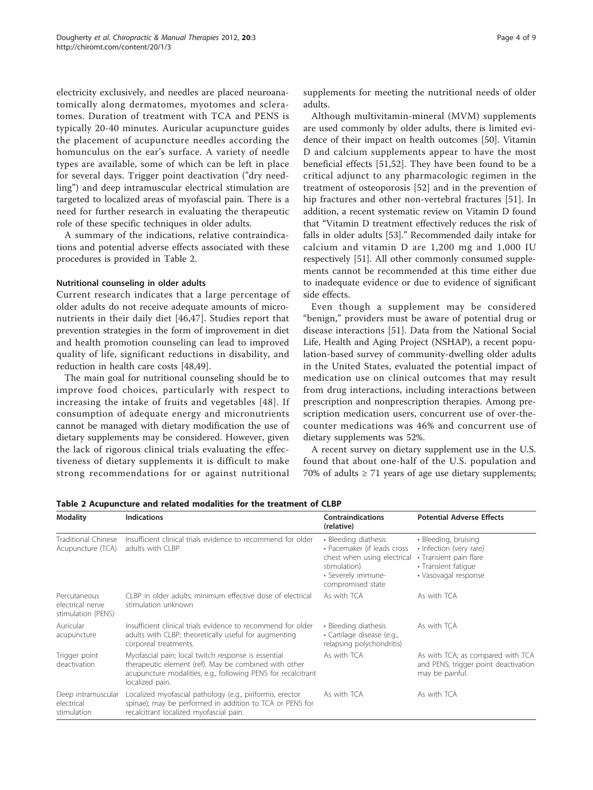electricity exclusively, and needles are placed neuroanatomically along dermatomes, myotomes and scleratomes. Duration of treatment with TCA and PENS is typically 20-40 minutes. Auricular acupuncture guides the placement of acupuncture needles according the homunculus on the ear's surface. A variety of needle types are available, some of which can be left in place for several days. Trigger point deactivation ("dry needling") and deep intramuscular electrical stimulation are targeted to localized areas of myofascial pain. There is a need for further research in evaluating the therapeutic role of these specific techniques in older adults.

A summary of the indications, relative contraindications and potential adverse effects associated with these procedures is provided in Table 2.

## Nutritional counseling in older adults

Current research indicates that a large percentage of older adults do not receive adequate amounts of micronutrients in their daily diet [[46](#page-7-0),[47\]](#page-7-0). Studies report that prevention strategies in the form of improvement in diet and health promotion counseling can lead to improved quality of life, significant reductions in disability, and reduction in health care costs [\[48,49\]](#page-7-0).

The main goal for nutritional counseling should be to improve food choices, particularly with respect to increasing the intake of fruits and vegetables [[48](#page-7-0)]. If consumption of adequate energy and micronutrients cannot be managed with dietary modification the use of dietary supplements may be considered. However, given the lack of rigorous clinical trials evaluating the effectiveness of dietary supplements it is difficult to make strong recommendations for or against nutritional supplements for meeting the nutritional needs of older adults.

Although multivitamin-mineral (MVM) supplements are used commonly by older adults, there is limited evidence of their impact on health outcomes [[50\]](#page-7-0). Vitamin D and calcium supplements appear to have the most beneficial effects [[51,52\]](#page-7-0). They have been found to be a critical adjunct to any pharmacologic regimen in the treatment of osteoporosis [[52\]](#page-7-0) and in the prevention of hip fractures and other non-vertebral fractures [[51\]](#page-7-0). In addition, a recent systematic review on Vitamin D found that "Vitamin D treatment effectively reduces the risk of falls in older adults [\[53](#page-7-0)]." Recommended daily intake for calcium and vitamin D are 1,200 mg and 1,000 IU respectively [[51](#page-7-0)]. All other commonly consumed supplements cannot be recommended at this time either due to inadequate evidence or due to evidence of significant side effects.

Even though a supplement may be considered "benign," providers must be aware of potential drug or disease interactions [[51](#page-7-0)]. Data from the National Social Life, Health and Aging Project (NSHAP), a recent population-based survey of community-dwelling older adults in the United States, evaluated the potential impact of medication use on clinical outcomes that may result from drug interactions, including interactions between prescription and nonprescription therapies. Among prescription medication users, concurrent use of over-thecounter medications was 46% and concurrent use of dietary supplements was 52%.

A recent survey on dietary supplement use in the U.S. found that about one-half of the U.S. population and 70% of adults  $\geq$  71 years of age use dietary supplements;

Table 2 Acupuncture and related modalities for the treatment of CLBP

| <b>Modality</b>                                        | <b>Indications</b>                                                                                                                                                                               | <b>Contraindications</b><br>(relative)                                                                                                        | <b>Potential Adverse Effects</b>                                                                                         |
|--------------------------------------------------------|--------------------------------------------------------------------------------------------------------------------------------------------------------------------------------------------------|-----------------------------------------------------------------------------------------------------------------------------------------------|--------------------------------------------------------------------------------------------------------------------------|
| Traditional Chinese<br>Acupuncture (TCA)               | Insufficient clinical trials evidence to recommend for older<br>adults with CLBP                                                                                                                 | • Bleeding diathesis<br>• Pacemaker (if leads cross<br>chest when using electrical<br>stimulation)<br>· Severely immune-<br>compromised state | · Bleeding, bruising<br>• Infection (very rare)<br>• Transient pain flare<br>• Transient fatique<br>• Vasovagal response |
| Percutaneous<br>electrical nerve<br>stimulation (PENS) | CLBP in older adults; minimum effective dose of electrical<br>stimulation unknown                                                                                                                | As with TCA                                                                                                                                   | As with TCA                                                                                                              |
| Auricular<br>acupuncture                               | Insufficient clinical trials evidence to recommend for older<br>adults with CLBP; theoretically useful for augmenting<br>corporeal treatments.                                                   | • Bleeding diathesis<br>· Cartilage disease (e.g.,<br>relapsing polychondritis)                                                               | As with TCA                                                                                                              |
| Trigger point<br>deactivation                          | Myofascial pain; local twitch response is essential<br>therapeutic element (ref). May be combined with other<br>acupuncture modalities, e.g., following PENS for recalcitrant<br>localized pain. | As with TCA                                                                                                                                   | As with TCA; as compared with TCA<br>and PENS, trigger point deactivation<br>may be painful.                             |
| Deep intramuscular<br>electrical<br>stimulation        | Localized myofascial pathology (e.g., piriformis, erector<br>spinae); may be performed in addition to TCA or PENS for<br>recalcitrant localized myofascial pain.                                 | As with TCA                                                                                                                                   | As with TCA                                                                                                              |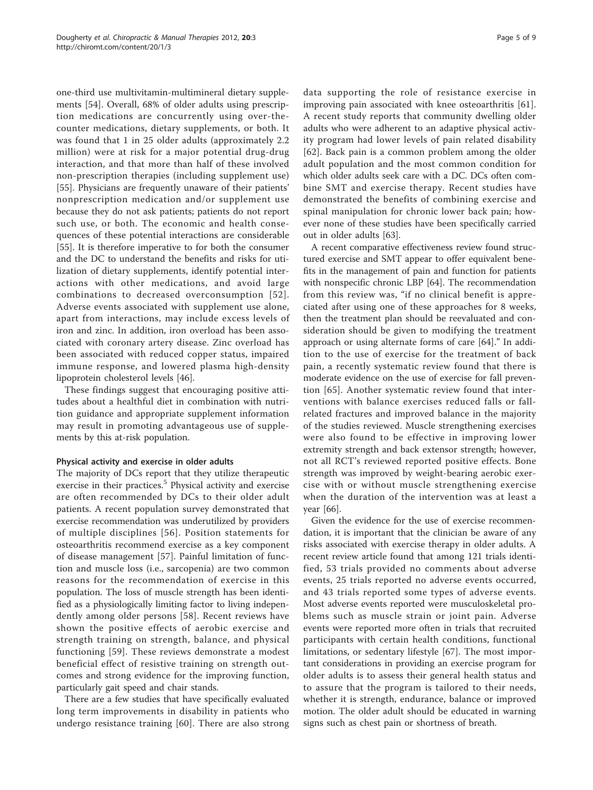one-third use multivitamin-multimineral dietary supplements [[54\]](#page-7-0). Overall, 68% of older adults using prescription medications are concurrently using over-thecounter medications, dietary supplements, or both. It was found that 1 in 25 older adults (approximately 2.2 million) were at risk for a major potential drug-drug interaction, and that more than half of these involved non-prescription therapies (including supplement use) [[55\]](#page-7-0). Physicians are frequently unaware of their patients' nonprescription medication and/or supplement use because they do not ask patients; patients do not report such use, or both. The economic and health consequences of these potential interactions are considerable [[55\]](#page-7-0). It is therefore imperative to for both the consumer and the DC to understand the benefits and risks for utilization of dietary supplements, identify potential interactions with other medications, and avoid large combinations to decreased overconsumption [[52\]](#page-7-0). Adverse events associated with supplement use alone, apart from interactions, may include excess levels of iron and zinc. In addition, iron overload has been associated with coronary artery disease. Zinc overload has been associated with reduced copper status, impaired immune response, and lowered plasma high-density lipoprotein cholesterol levels [[46](#page-7-0)].

These findings suggest that encouraging positive attitudes about a healthful diet in combination with nutrition guidance and appropriate supplement information may result in promoting advantageous use of supplements by this at-risk population.

# Physical activity and exercise in older adults

The majority of DCs report that they utilize therapeutic exercise in their practices.<sup>5</sup> Physical activity and exercise are often recommended by DCs to their older adult patients. A recent population survey demonstrated that exercise recommendation was underutilized by providers of multiple disciplines [[56\]](#page-7-0). Position statements for osteoarthritis recommend exercise as a key component of disease management [\[57](#page-7-0)]. Painful limitation of function and muscle loss (i.e., sarcopenia) are two common reasons for the recommendation of exercise in this population. The loss of muscle strength has been identified as a physiologically limiting factor to living independently among older persons [[58](#page-7-0)]. Recent reviews have shown the positive effects of aerobic exercise and strength training on strength, balance, and physical functioning [\[59\]](#page-7-0). These reviews demonstrate a modest beneficial effect of resistive training on strength outcomes and strong evidence for the improving function, particularly gait speed and chair stands.

There are a few studies that have specifically evaluated long term improvements in disability in patients who undergo resistance training [[60\]](#page-7-0). There are also strong data supporting the role of resistance exercise in improving pain associated with knee osteoarthritis [\[61](#page-7-0)]. A recent study reports that community dwelling older adults who were adherent to an adaptive physical activity program had lower levels of pain related disability [[62](#page-7-0)]. Back pain is a common problem among the older adult population and the most common condition for which older adults seek care with a DC. DCs often combine SMT and exercise therapy. Recent studies have demonstrated the benefits of combining exercise and spinal manipulation for chronic lower back pain; however none of these studies have been specifically carried out in older adults [\[63](#page-7-0)].

A recent comparative effectiveness review found structured exercise and SMT appear to offer equivalent benefits in the management of pain and function for patients with nonspecific chronic LBP [[64\]](#page-7-0). The recommendation from this review was, "if no clinical benefit is appreciated after using one of these approaches for 8 weeks, then the treatment plan should be reevaluated and consideration should be given to modifying the treatment approach or using alternate forms of care [[64](#page-7-0)]." In addition to the use of exercise for the treatment of back pain, a recently systematic review found that there is moderate evidence on the use of exercise for fall prevention [[65\]](#page-7-0). Another systematic review found that interventions with balance exercises reduced falls or fallrelated fractures and improved balance in the majority of the studies reviewed. Muscle strengthening exercises were also found to be effective in improving lower extremity strength and back extensor strength; however, not all RCT's reviewed reported positive effects. Bone strength was improved by weight-bearing aerobic exercise with or without muscle strengthening exercise when the duration of the intervention was at least a year [[66\]](#page-7-0).

Given the evidence for the use of exercise recommendation, it is important that the clinician be aware of any risks associated with exercise therapy in older adults. A recent review article found that among 121 trials identified, 53 trials provided no comments about adverse events, 25 trials reported no adverse events occurred, and 43 trials reported some types of adverse events. Most adverse events reported were musculoskeletal problems such as muscle strain or joint pain. Adverse events were reported more often in trials that recruited participants with certain health conditions, functional limitations, or sedentary lifestyle [[67](#page-7-0)]. The most important considerations in providing an exercise program for older adults is to assess their general health status and to assure that the program is tailored to their needs, whether it is strength, endurance, balance or improved motion. The older adult should be educated in warning signs such as chest pain or shortness of breath.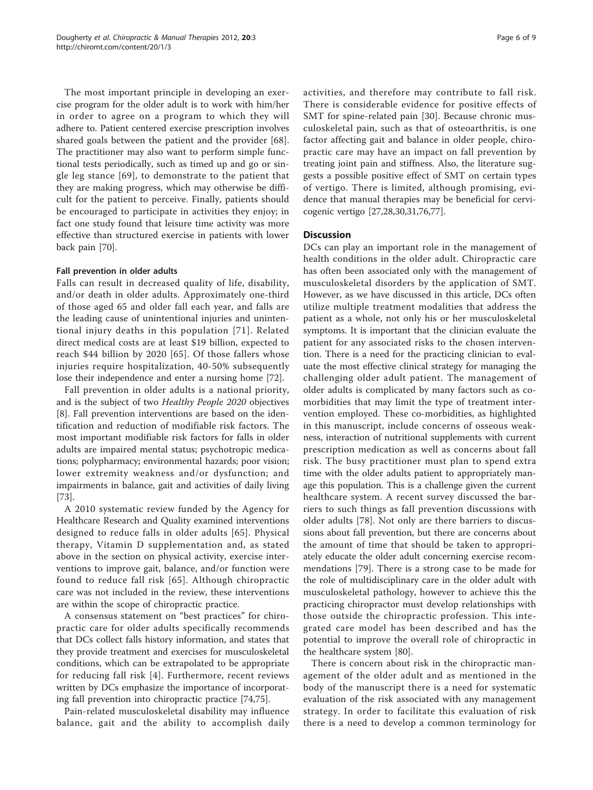The most important principle in developing an exercise program for the older adult is to work with him/her in order to agree on a program to which they will adhere to. Patient centered exercise prescription involves shared goals between the patient and the provider [\[68](#page-7-0)]. The practitioner may also want to perform simple functional tests periodically, such as timed up and go or single leg stance [\[69\]](#page-7-0), to demonstrate to the patient that they are making progress, which may otherwise be difficult for the patient to perceive. Finally, patients should be encouraged to participate in activities they enjoy; in fact one study found that leisure time activity was more effective than structured exercise in patients with lower back pain [[70](#page-7-0)].

#### Fall prevention in older adults

Falls can result in decreased quality of life, disability, and/or death in older adults. Approximately one-third of those aged 65 and older fall each year, and falls are the leading cause of unintentional injuries and unintentional injury deaths in this population [[71\]](#page-7-0). Related direct medical costs are at least \$19 billion, expected to reach \$44 billion by 2020 [\[65\]](#page-7-0). Of those fallers whose injuries require hospitalization, 40-50% subsequently lose their independence and enter a nursing home [[72](#page-7-0)].

Fall prevention in older adults is a national priority, and is the subject of two Healthy People 2020 objectives [[8\]](#page-6-0). Fall prevention interventions are based on the identification and reduction of modifiable risk factors. The most important modifiable risk factors for falls in older adults are impaired mental status; psychotropic medications; polypharmacy; environmental hazards; poor vision; lower extremity weakness and/or dysfunction; and impairments in balance, gait and activities of daily living [[73\]](#page-8-0).

A 2010 systematic review funded by the Agency for Healthcare Research and Quality examined interventions designed to reduce falls in older adults [[65](#page-7-0)]. Physical therapy, Vitamin D supplementation and, as stated above in the section on physical activity, exercise interventions to improve gait, balance, and/or function were found to reduce fall risk [[65](#page-7-0)]. Although chiropractic care was not included in the review, these interventions are within the scope of chiropractic practice.

A consensus statement on "best practices" for chiropractic care for older adults specifically recommends that DCs collect falls history information, and states that they provide treatment and exercises for musculoskeletal conditions, which can be extrapolated to be appropriate for reducing fall risk [\[4\]](#page-6-0). Furthermore, recent reviews written by DCs emphasize the importance of incorporating fall prevention into chiropractic practice [[74](#page-8-0),[75](#page-8-0)].

Pain-related musculoskeletal disability may influence balance, gait and the ability to accomplish daily activities, and therefore may contribute to fall risk. There is considerable evidence for positive effects of SMT for spine-related pain [[30\]](#page-7-0). Because chronic musculoskeletal pain, such as that of osteoarthritis, is one factor affecting gait and balance in older people, chiropractic care may have an impact on fall prevention by treating joint pain and stiffness. Also, the literature suggests a possible positive effect of SMT on certain types of vertigo. There is limited, although promising, evidence that manual therapies may be beneficial for cervicogenic vertigo [\[27,28,30,31,](#page-7-0)[76,77](#page-8-0)].

# **Discussion**

DCs can play an important role in the management of health conditions in the older adult. Chiropractic care has often been associated only with the management of musculoskeletal disorders by the application of SMT. However, as we have discussed in this article, DCs often utilize multiple treatment modalities that address the patient as a whole, not only his or her musculoskeletal symptoms. It is important that the clinician evaluate the patient for any associated risks to the chosen intervention. There is a need for the practicing clinician to evaluate the most effective clinical strategy for managing the challenging older adult patient. The management of older adults is complicated by many factors such as comorbidities that may limit the type of treatment intervention employed. These co-morbidities, as highlighted in this manuscript, include concerns of osseous weakness, interaction of nutritional supplements with current prescription medication as well as concerns about fall risk. The busy practitioner must plan to spend extra time with the older adults patient to appropriately manage this population. This is a challenge given the current healthcare system. A recent survey discussed the barriers to such things as fall prevention discussions with older adults [\[78](#page-8-0)]. Not only are there barriers to discussions about fall prevention, but there are concerns about the amount of time that should be taken to appropriately educate the older adult concerning exercise recommendations [[79](#page-8-0)]. There is a strong case to be made for the role of multidisciplinary care in the older adult with musculoskeletal pathology, however to achieve this the practicing chiropractor must develop relationships with those outside the chiropractic profession. This integrated care model has been described and has the potential to improve the overall role of chiropractic in the healthcare system [[80\]](#page-8-0).

There is concern about risk in the chiropractic management of the older adult and as mentioned in the body of the manuscript there is a need for systematic evaluation of the risk associated with any management strategy. In order to facilitate this evaluation of risk there is a need to develop a common terminology for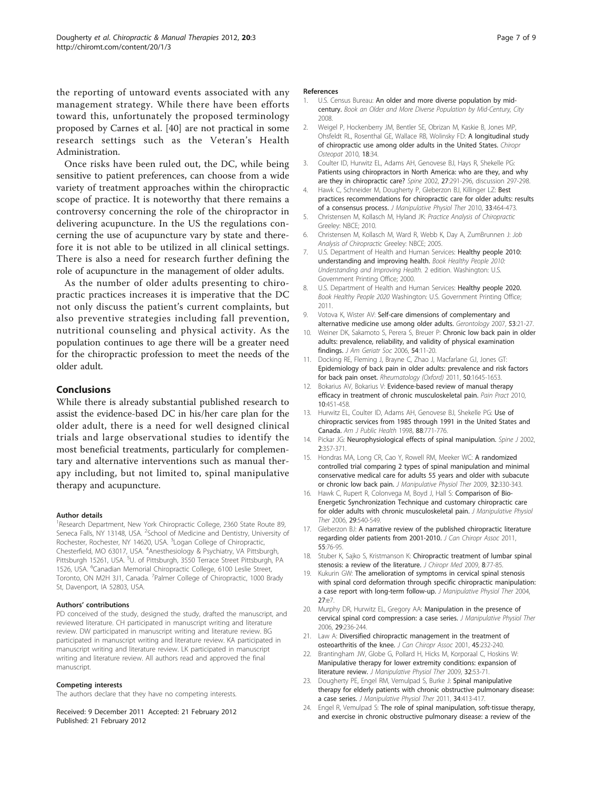<span id="page-6-0"></span>the reporting of untoward events associated with any management strategy. While there have been efforts toward this, unfortunately the proposed terminology proposed by Carnes et al. [[40](#page-7-0)] are not practical in some research settings such as the Veteran's Health Administration.

Once risks have been ruled out, the DC, while being sensitive to patient preferences, can choose from a wide variety of treatment approaches within the chiropractic scope of practice. It is noteworthy that there remains a controversy concerning the role of the chiropractor in delivering acupuncture. In the US the regulations concerning the use of acupuncture vary by state and therefore it is not able to be utilized in all clinical settings. There is also a need for research further defining the role of acupuncture in the management of older adults.

As the number of older adults presenting to chiropractic practices increases it is imperative that the DC not only discuss the patient's current complaints, but also preventive strategies including fall prevention, nutritional counseling and physical activity. As the population continues to age there will be a greater need for the chiropractic profession to meet the needs of the older adult.

## Conclusions

While there is already substantial published research to assist the evidence-based DC in his/her care plan for the older adult, there is a need for well designed clinical trials and large observational studies to identify the most beneficial treatments, particularly for complementary and alternative interventions such as manual therapy including, but not limited to, spinal manipulative therapy and acupuncture.

#### Author details

<sup>1</sup> Research Department, New York Chiropractic College, 2360 State Route 89, Seneca Falls, NY 13148, USA. <sup>2</sup>School of Medicine and Dentistry, University of Rochester, Rochester, NY 14620, USA. <sup>3</sup>Logan College of Chiropractic, Chesterfield, MO 63017, USA. <sup>4</sup>Anesthesiology & Psychiatry, VA Pittsburgh, Pittsburgh 15261, USA. <sup>5</sup>U. of Pittsburgh, 3550 Terrace Street Pittsburgh, PA 1526, USA. <sup>6</sup>Canadian Memorial Chiropractic College, 6100 Leslie Street, Toronto, ON M2H 3J1, Canada. <sup>7</sup>Palmer College of Chiropractic, 1000 Brady St, Davenport, IA 52803, USA.

#### Authors' contributions

PD conceived of the study, designed the study, drafted the manuscript, and reviewed literature. CH participated in manuscript writing and literature review. DW participated in manuscript writing and literature review. BG participated in manuscript writing and literature review. KA participated in manuscript writing and literature review. LK participated in manuscript writing and literature review. All authors read and approved the final manuscript.

#### Competing interests

The authors declare that they have no competing interests.

#### Received: 9 December 2011 Accepted: 21 February 2012 Published: 21 February 2012

#### References

- 1. U.S. Census Bureau: An older and more diverse population by midcentury. Book an Older and More Diverse Population by Mid-Century, City 2008.
- 2. Weigel P, Hockenberry JM, Bentler SE, Obrizan M, Kaskie B, Jones MP, Ohsfeldt RL, Rosenthal GE, Wallace RB, Wolinsky FD: [A longitudinal study](http://www.ncbi.nlm.nih.gov/pubmed/21176137?dopt=Abstract) [of chiropractic use among older adults in the United States.](http://www.ncbi.nlm.nih.gov/pubmed/21176137?dopt=Abstract) Chiropr Osteopat 2010, 18:34.
- 3. Coulter ID, Hurwitz EL, Adams AH, Genovese BJ, Hays R, Shekelle PG: [Patients using chiropractors in North America: who are they, and why](http://www.ncbi.nlm.nih.gov/pubmed/11805694?dopt=Abstract) [are they in chiropractic care?](http://www.ncbi.nlm.nih.gov/pubmed/11805694?dopt=Abstract) Spine 2002, 27:291-296, discussion 297-298.
- 4. Hawk C, Schneider M, Dougherty P, Gleberzon BJ, Killinger LZ: [Best](http://www.ncbi.nlm.nih.gov/pubmed/20732584?dopt=Abstract) [practices recommendations for chiropractic care for older adults: results](http://www.ncbi.nlm.nih.gov/pubmed/20732584?dopt=Abstract) [of a consensus process.](http://www.ncbi.nlm.nih.gov/pubmed/20732584?dopt=Abstract) J Manipulative Physiol Ther 2010, 33:464-473.
- 5. Christensen M, Kollasch M, Hyland JK: Practice Analysis of Chiropractic Greeley: NBCE; 2010.
- 6. Christensen M, Kollasch M, Ward R, Webb K, Day A, ZumBrunnen J: Job Analysis of Chiropractic Greeley: NBCE; 2005.
- 7. U.S. Department of Health and Human Services: Healthy people 2010: understanding and improving health. Book Healthy People 2010: Understanding and Improving Health. 2 edition. Washington: U.S. Government Printing Office; 2000.
- 8. U.S. Department of Health and Human Services: Healthy people 2020. Book Healthy People 2020 Washington: U.S. Government Printing Office; 2011.
- 9. Votova K, Wister AV: [Self-care dimensions of complementary and](http://www.ncbi.nlm.nih.gov/pubmed/16960457?dopt=Abstract) [alternative medicine use among older adults.](http://www.ncbi.nlm.nih.gov/pubmed/16960457?dopt=Abstract) Gerontology 2007, 53:21-27.
- 10. Weiner DK, Sakamoto S, Perera S, Breuer P: [Chronic low back pain in older](http://www.ncbi.nlm.nih.gov/pubmed/16420193?dopt=Abstract) [adults: prevalence, reliability, and validity of physical examination](http://www.ncbi.nlm.nih.gov/pubmed/16420193?dopt=Abstract) [findings.](http://www.ncbi.nlm.nih.gov/pubmed/16420193?dopt=Abstract) J Am Geriatr Soc 2006, 54:11-20.
- 11. Docking RE, Fleming J, Brayne C, Zhao J, Macfarlane GJ, Jones GT: Epidemiology of back pain in older adults: prevalence and risk factors for back pain onset. Rheumatology (Oxford) 2011, 50:1645-1653.
- 12. Bokarius AV, Bokarius V: [Evidence-based review of manual therapy](http://www.ncbi.nlm.nih.gov/pubmed/20412502?dopt=Abstract) [efficacy in treatment of chronic musculoskeletal pain.](http://www.ncbi.nlm.nih.gov/pubmed/20412502?dopt=Abstract) Pain Pract 2010, 10:451-458.
- 13. Hurwitz EL, Coulter ID, Adams AH, Genovese BJ, Shekelle PG: [Use of](http://www.ncbi.nlm.nih.gov/pubmed/9585743?dopt=Abstract) [chiropractic services from 1985 through 1991 in the United States and](http://www.ncbi.nlm.nih.gov/pubmed/9585743?dopt=Abstract) [Canada.](http://www.ncbi.nlm.nih.gov/pubmed/9585743?dopt=Abstract) Am J Public Health 1998, 88:771-776.
- 14. Pickar JG: [Neurophysiological effects of spinal manipulation.](http://www.ncbi.nlm.nih.gov/pubmed/14589467?dopt=Abstract) Spine J 2002, 2:357-371.
- 15. Hondras MA, Long CR, Cao Y, Rowell RM, Meeker WC: [A randomized](http://www.ncbi.nlm.nih.gov/pubmed/19539115?dopt=Abstract) [controlled trial comparing 2 types of spinal manipulation and minimal](http://www.ncbi.nlm.nih.gov/pubmed/19539115?dopt=Abstract) [conservative medical care for adults 55 years and older with subacute](http://www.ncbi.nlm.nih.gov/pubmed/19539115?dopt=Abstract) [or chronic low back pain.](http://www.ncbi.nlm.nih.gov/pubmed/19539115?dopt=Abstract) J Manipulative Physiol Ther 2009, 32:330-343.
- 16. Hawk C, Rupert R, Colonvega M, Boyd J, Hall S: [Comparison of Bio-](http://www.ncbi.nlm.nih.gov/pubmed/16949943?dopt=Abstract)[Energetic Synchronization Technique and customary chiropractic care](http://www.ncbi.nlm.nih.gov/pubmed/16949943?dopt=Abstract) [for older adults with chronic musculoskeletal pain.](http://www.ncbi.nlm.nih.gov/pubmed/16949943?dopt=Abstract) J Manipulative Physiol Ther 2006, 29:540-549.
- 17. Gleberzon BJ: [A narrative review of the published chiropractic literature](http://www.ncbi.nlm.nih.gov/pubmed/21629461?dopt=Abstract) [regarding older patients from 2001-2010.](http://www.ncbi.nlm.nih.gov/pubmed/21629461?dopt=Abstract) J Can Chiropr Assoc 2011, 55:76-95.
- 18. Stuber K, Sajko S, Kristmanson K: [Chiropractic treatment of lumbar spinal](http://www.ncbi.nlm.nih.gov/pubmed/19646390?dopt=Abstract) [stenosis: a review of the literature.](http://www.ncbi.nlm.nih.gov/pubmed/19646390?dopt=Abstract) J Chiropr Med 2009, 8:77-85.
- Kukurin GW: [The amelioration of symptoms in cervical spinal stenosis](http://www.ncbi.nlm.nih.gov/pubmed/15195045?dopt=Abstract) [with spinal cord deformation through specific chiropractic manipulation:](http://www.ncbi.nlm.nih.gov/pubmed/15195045?dopt=Abstract) [a case report with long-term follow-up.](http://www.ncbi.nlm.nih.gov/pubmed/15195045?dopt=Abstract) J Manipulative Physiol Ther 2004, 27:e7.
- 20. Murphy DR, Hurwitz EL, Gregory AA: [Manipulation in the presence of](http://www.ncbi.nlm.nih.gov/pubmed/16584950?dopt=Abstract) [cervical spinal cord compression: a case series.](http://www.ncbi.nlm.nih.gov/pubmed/16584950?dopt=Abstract) J Manipulative Physiol Ther 2006, 29:236-244.
- 21. Law A: Diversified chiropractic management in the treatment of osteoarthritis of the knee. J Can Chiropr Assoc 2001, 45:232-240.
- 22. Brantingham JW, Globe G, Pollard H, Hicks M, Korporaal C, Hoskins W: [Manipulative therapy for lower extremity conditions: expansion of](http://www.ncbi.nlm.nih.gov/pubmed/19121464?dopt=Abstract) [literature review.](http://www.ncbi.nlm.nih.gov/pubmed/19121464?dopt=Abstract) J Manipulative Physiol Ther 2009, 32:53-71.
- 23. Dougherty PE, Engel RM, Vemulpad S, Burke J: [Spinal manipulative](http://www.ncbi.nlm.nih.gov/pubmed/21807266?dopt=Abstract) [therapy for elderly patients with chronic obstructive pulmonary disease:](http://www.ncbi.nlm.nih.gov/pubmed/21807266?dopt=Abstract) [a case series.](http://www.ncbi.nlm.nih.gov/pubmed/21807266?dopt=Abstract) J Manipulative Physiol Ther 2011, 34:413-417.
- 24. Engel R, Vemulpad S: [The role of spinal manipulation, soft-tissue therapy,](http://www.ncbi.nlm.nih.gov/pubmed/21838523?dopt=Abstract) [and exercise in chronic obstructive pulmonary disease: a review of the](http://www.ncbi.nlm.nih.gov/pubmed/21838523?dopt=Abstract)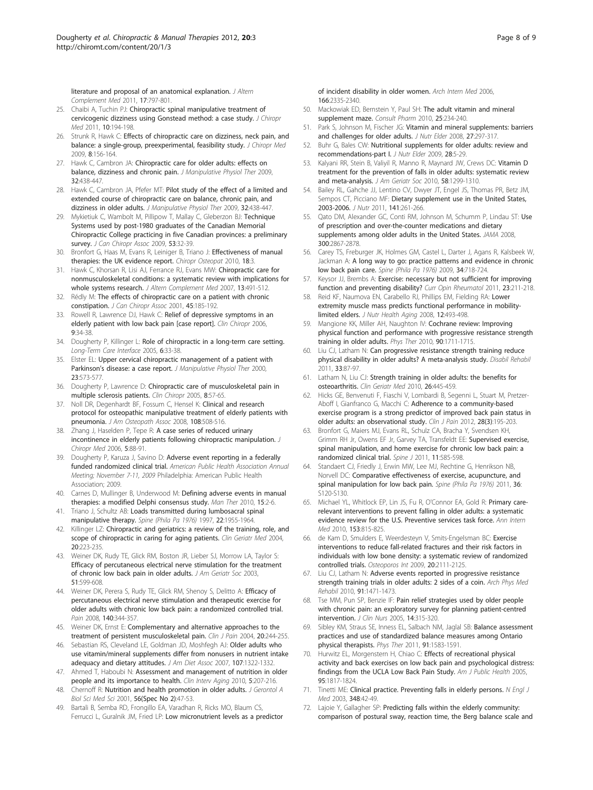<span id="page-7-0"></span>[literature and proposal of an anatomical explanation.](http://www.ncbi.nlm.nih.gov/pubmed/21838523?dopt=Abstract) J Altern Complement Med 2011, 17:797-801.

- 25. Chaibi A, Tuchin PJ: [Chiropractic spinal manipulative treatment of](http://www.ncbi.nlm.nih.gov/pubmed/22014910?dopt=Abstract) [cervicogenic dizziness using Gonstead method: a case study.](http://www.ncbi.nlm.nih.gov/pubmed/22014910?dopt=Abstract) J Chiropr Med 2011, 10:194-198.
- 26. Strunk R, Hawk C: [Effects of chiropractic care on dizziness, neck pain, and](http://www.ncbi.nlm.nih.gov/pubmed/19948306?dopt=Abstract) [balance: a single-group, preexperimental, feasibility study.](http://www.ncbi.nlm.nih.gov/pubmed/19948306?dopt=Abstract) J Chiropr Med 2009, 8:156-164.
- 27. Hawk C, Cambron JA: [Chiropractic care for older adults: effects on](http://www.ncbi.nlm.nih.gov/pubmed/19712786?dopt=Abstract) [balance, dizziness and chronic pain.](http://www.ncbi.nlm.nih.gov/pubmed/19712786?dopt=Abstract) J Manipulative Physiol Ther 2009, 32:438-447.
- 28. Hawk C, Cambron JA, Pfefer MT: [Pilot study of the effect of a limited and](http://www.ncbi.nlm.nih.gov/pubmed/19712786?dopt=Abstract) [extended course of chiropractic care on balance, chronic pain, and](http://www.ncbi.nlm.nih.gov/pubmed/19712786?dopt=Abstract) [dizziness in older adults.](http://www.ncbi.nlm.nih.gov/pubmed/19712786?dopt=Abstract) J Manipulative Physiol Ther 2009, 32:438-447.
- 29. Mykietiuk C, Wambolt M, Pillipow T, Mallay C, Gleberzon BJ: [Technique](http://www.ncbi.nlm.nih.gov/pubmed/19421351?dopt=Abstract) [Systems used by post-1980 graduates of the Canadian Memorial](http://www.ncbi.nlm.nih.gov/pubmed/19421351?dopt=Abstract) [Chiropractic College practicing in five Canadian provinces: a preliminary](http://www.ncbi.nlm.nih.gov/pubmed/19421351?dopt=Abstract) [survey.](http://www.ncbi.nlm.nih.gov/pubmed/19421351?dopt=Abstract) J Can Chiropr Assoc 2009, 53:32-39.
- 30. Bronfort G, Haas M, Evans R, Leiniger B, Triano J: [Effectiveness of manual](http://www.ncbi.nlm.nih.gov/pubmed/20184717?dopt=Abstract) [therapies: the UK evidence report.](http://www.ncbi.nlm.nih.gov/pubmed/20184717?dopt=Abstract) Chiropr Osteopat 2010, 18:3.
- 31. Hawk C, Khorsan R, Lisi AJ, Ferrance RJ, Evans MW: [Chiropractic care for](http://www.ncbi.nlm.nih.gov/pubmed/17604553?dopt=Abstract) [nonmusculoskeletal conditions: a systematic review with implications for](http://www.ncbi.nlm.nih.gov/pubmed/17604553?dopt=Abstract) [whole systems research.](http://www.ncbi.nlm.nih.gov/pubmed/17604553?dopt=Abstract) J Altern Complement Med 2007, 13:491-512.
- 32. Rédly M: The effects of chiropractic care on a patient with chronic constipation. J Can Chiropr Assoc 2001, 45:185-192.
- 33. Rowell R, Lawrence DJ, Hawk C: Relief of depressive symptoms in an elderly patient with low back pain [case report]. Clin Chiropr 2006, 9:34-38.
- 34. Dougherty P, Killinger L: Role of chiropractic in a long-term care setting. Long-Term Care Interface 2005, 6:33-38.
- 35. Elster EL: [Upper cervical chiropractic management of a patient with](http://www.ncbi.nlm.nih.gov/pubmed/11050615?dopt=Abstract) Parkinson'[s disease: a case report.](http://www.ncbi.nlm.nih.gov/pubmed/11050615?dopt=Abstract) J Manipulative Physiol Ther 2000, 23:573-577.
- 36. Dougherty P, Lawrence D: Chiropractic care of musculoskeletal pain in multiple sclerosis patients. Clin Chiropr 2005, 8:57-65.
- 37. Noll DR, Degenhardt BF, Fossum C, Hensel K: [Clinical and research](http://www.ncbi.nlm.nih.gov/pubmed/18806080?dopt=Abstract) [protocol for osteopathic manipulative treatment of elderly patients with](http://www.ncbi.nlm.nih.gov/pubmed/18806080?dopt=Abstract) [pneumonia.](http://www.ncbi.nlm.nih.gov/pubmed/18806080?dopt=Abstract) J Am Osteopath Assoc 2008, 108:508-516.
- 38. Zhang J, Haselden P, Tepe R: A [case series of reduced urinary](http://www.ncbi.nlm.nih.gov/pubmed/19674678?dopt=Abstract) [incontinence in elderly patients following chiropractic manipulation.](http://www.ncbi.nlm.nih.gov/pubmed/19674678?dopt=Abstract) J Chiropr Med 2006, 5:88-91.
- 39. Dougherty P, Karuza J, Savino D: [Adverse event reporting in a federally](http://www.ncbi.nlm.nih.gov/pubmed/22107822?dopt=Abstract) [funded randomized clinical trial.](http://www.ncbi.nlm.nih.gov/pubmed/22107822?dopt=Abstract) American Public Health Association Annual Meeting; November 7-11, 2009 Philadelphia: American Public Health Association; 2009.
- 40. Carnes D, Mullinger B, Underwood M: [Defining adverse events in manual](http://www.ncbi.nlm.nih.gov/pubmed/19443262?dopt=Abstract) [therapies: a modified Delphi consensus study.](http://www.ncbi.nlm.nih.gov/pubmed/19443262?dopt=Abstract) Man Ther 2010, 15:2-6.
- 41. Triano J, Schultz AB: Loads transmitted during lumbosacral spinal manipulative therapy. Spine (Phila Pa 1976) 1997, 22:1955-1964.
- 42. Killinger LZ: [Chiropractic and geriatrics: a review of the training, role, and](http://www.ncbi.nlm.nih.gov/pubmed/15182879?dopt=Abstract) [scope of chiropractic in caring for aging patients.](http://www.ncbi.nlm.nih.gov/pubmed/15182879?dopt=Abstract) Clin Geriatr Med 2004, 20:223-235.
- 43. Weiner DK, Rudy TE, Glick RM, Boston JR, Lieber SJ, Morrow LA, Taylor S: [Efficacy of percutaneous electrical nerve stimulation for the treatment](http://www.ncbi.nlm.nih.gov/pubmed/12752833?dopt=Abstract) [of chronic low back pain in older adults.](http://www.ncbi.nlm.nih.gov/pubmed/12752833?dopt=Abstract) J Am Geriatr Soc 2003, 51:599-608.
- 44. Weiner DK, Perera S, Rudy TE, Glick RM, Shenoy S, Delitto A: [Efficacy of](http://www.ncbi.nlm.nih.gov/pubmed/18930352?dopt=Abstract) [percutaneous electrical nerve stimulation and therapeutic exercise for](http://www.ncbi.nlm.nih.gov/pubmed/18930352?dopt=Abstract) [older adults with chronic low back pain: a randomized controlled trial.](http://www.ncbi.nlm.nih.gov/pubmed/18930352?dopt=Abstract) Pain 2008, 140:344-357.
- 45. Weiner DK, Ernst E: [Complementary and alternative approaches to the](http://www.ncbi.nlm.nih.gov/pubmed/15218409?dopt=Abstract) [treatment of persistent musculoskeletal pain.](http://www.ncbi.nlm.nih.gov/pubmed/15218409?dopt=Abstract) Clin J Pain 2004, 20:244-255.
- 46. Sebastian RS, Cleveland LE, Goldman JD, Moshfegh AJ: [Older adults who](http://www.ncbi.nlm.nih.gov/pubmed/17659898?dopt=Abstract) [use vitamin/mineral supplements differ from nonusers in nutrient intake](http://www.ncbi.nlm.nih.gov/pubmed/17659898?dopt=Abstract) [adequacy and dietary attitudes.](http://www.ncbi.nlm.nih.gov/pubmed/17659898?dopt=Abstract) J Am Diet Assoc 2007, 107:1322-1332.
- 47. Ahmed T, Haboubi N: [Assessment and management of nutrition in older](http://www.ncbi.nlm.nih.gov/pubmed/20711440?dopt=Abstract) [people and its importance to health.](http://www.ncbi.nlm.nih.gov/pubmed/20711440?dopt=Abstract) Clin Interv Aging 2010, 5:207-216.
- Chernoff R: [Nutrition and health promotion in older adults.](http://www.ncbi.nlm.nih.gov/pubmed/11730237?dopt=Abstract) J Gerontol A Biol Sci Med Sci 2001, 56(Spec No 2):47-53.
- 49. Bartali B, Semba RD, Frongillo EA, Varadhan R, Ricks MO, Blaum CS, Ferrucci L, Guralnik JM, Fried LP: [Low micronutrient levels as a predictor](http://www.ncbi.nlm.nih.gov/pubmed/17130386?dopt=Abstract)

[of incident disability in older women.](http://www.ncbi.nlm.nih.gov/pubmed/17130386?dopt=Abstract) Arch Intern Med 2006, 166:2335-2340.

- 50. Mackowiak ED, Bernstein Y, Paul SH: [The adult vitamin and mineral](http://www.ncbi.nlm.nih.gov/pubmed/20511176?dopt=Abstract) [supplement maze.](http://www.ncbi.nlm.nih.gov/pubmed/20511176?dopt=Abstract) Consult Pharm 2010, 25:234-240.
- 51. Park S, Johnson M, Fischer JG: [Vitamin and mineral supplements: barriers](http://www.ncbi.nlm.nih.gov/pubmed/19042577?dopt=Abstract) [and challenges for older adults.](http://www.ncbi.nlm.nih.gov/pubmed/19042577?dopt=Abstract) J Nutr Elder 2008, 27:297-317
- 52. Buhr G, Bales CW: [Nutritional supplements for older adults: review and](http://www.ncbi.nlm.nih.gov/pubmed/19234992?dopt=Abstract) [recommendations-part I.](http://www.ncbi.nlm.nih.gov/pubmed/19234992?dopt=Abstract) J Nutr Elder 2009, 28:5-29.
- Kalyani RR, Stein B, Valiyil R, Manno R, Maynard JW, Crews DC: [Vitamin D](http://www.ncbi.nlm.nih.gov/pubmed/20579169?dopt=Abstract) [treatment for the prevention of falls in older adults: systematic review](http://www.ncbi.nlm.nih.gov/pubmed/20579169?dopt=Abstract) [and meta-analysis.](http://www.ncbi.nlm.nih.gov/pubmed/20579169?dopt=Abstract) J Am Geriatr Soc 2010, 58:1299-1310.
- 54. Bailey RL, Gahche JJ, Lentino CV, Dwyer JT, Engel JS, Thomas PR, Betz JM, Sempos CT, Picciano MF: [Dietary supplement use in the United States,](http://www.ncbi.nlm.nih.gov/pubmed/21178089?dopt=Abstract) [2003-2006.](http://www.ncbi.nlm.nih.gov/pubmed/21178089?dopt=Abstract) J Nutr 2011, 141:261-266.
- 55. Qato DM, Alexander GC, Conti RM, Johnson M, Schumm P, Lindau ST: [Use](http://www.ncbi.nlm.nih.gov/pubmed/19109115?dopt=Abstract) [of prescription and over-the-counter medications and dietary](http://www.ncbi.nlm.nih.gov/pubmed/19109115?dopt=Abstract) [supplements among older adults in the United States.](http://www.ncbi.nlm.nih.gov/pubmed/19109115?dopt=Abstract) JAMA 2008, 300:2867-2878.
- 56. Carey TS, Freburger JK, Holmes GM, Castel L, Darter J, Agans R, Kalsbeek W, Jackman A: A long way to go: practice patterns and evidence in chronic low back pain care. Spine (Phila Pa 1976) 2009, 34:718-724.
- 57. Keysor JJ, Brembs A: [Exercise: necessary but not sufficient for improving](http://www.ncbi.nlm.nih.gov/pubmed/21252681?dopt=Abstract) [function and preventing disability?](http://www.ncbi.nlm.nih.gov/pubmed/21252681?dopt=Abstract) Curr Opin Rheumatol 2011, 23:211-218.
- 58. Reid KF, Naumova EN, Carabello RJ, Phillips EM, Fielding RA: [Lower](http://www.ncbi.nlm.nih.gov/pubmed/18615232?dopt=Abstract) [extremity muscle mass predicts functional performance in mobility](http://www.ncbi.nlm.nih.gov/pubmed/18615232?dopt=Abstract)[limited elders.](http://www.ncbi.nlm.nih.gov/pubmed/18615232?dopt=Abstract) J Nutr Health Aging 2008, 12:493-498.
- Mangione KK, Miller AH, Naughton IV: [Cochrane review: Improving](http://www.ncbi.nlm.nih.gov/pubmed/21123213?dopt=Abstract) [physical function and performance with progressive resistance strength](http://www.ncbi.nlm.nih.gov/pubmed/21123213?dopt=Abstract) [training in older adults.](http://www.ncbi.nlm.nih.gov/pubmed/21123213?dopt=Abstract) Phys Ther 2010, 90:1711-1715.
- 60. Liu CJ, Latham N: [Can progressive resistance strength training reduce](http://www.ncbi.nlm.nih.gov/pubmed/20476841?dopt=Abstract) [physical disability in older adults? A meta-analysis study.](http://www.ncbi.nlm.nih.gov/pubmed/20476841?dopt=Abstract) Disabil Rehabil 2011, 33:87-97.
- 61. Latham N, Liu CJ: [Strength training in older adults: the benefits for](http://www.ncbi.nlm.nih.gov/pubmed/20699165?dopt=Abstract) [osteoarthritis.](http://www.ncbi.nlm.nih.gov/pubmed/20699165?dopt=Abstract) Clin Geriatr Med 2010, 26:445-459.
- 62. Hicks GE, Benvenuti F, Fiaschi V, Lombardi B, Segenni L, Stuart M, Pretzer-Aboff I, Gianfranco G, Macchi C: [Adherence to a community-based](http://www.ncbi.nlm.nih.gov/pubmed/21750458?dopt=Abstract) [exercise program is a strong predictor of improved back pain status in](http://www.ncbi.nlm.nih.gov/pubmed/21750458?dopt=Abstract) [older adults: an observational study.](http://www.ncbi.nlm.nih.gov/pubmed/21750458?dopt=Abstract) Clin J Pain 2012, 28(3):195-203.
- 63. Bronfort G, Maiers MJ, Evans RL, Schulz CA, Bracha Y, Svendsen KH, Grimm RH Jr, Owens EF Jr, Garvey TA, Transfeldt EE: [Supervised exercise,](http://www.ncbi.nlm.nih.gov/pubmed/21622028?dopt=Abstract) [spinal manipulation, and home exercise for chronic low back pain: a](http://www.ncbi.nlm.nih.gov/pubmed/21622028?dopt=Abstract) [randomized clinical trial.](http://www.ncbi.nlm.nih.gov/pubmed/21622028?dopt=Abstract) Spine J 2011, 11:585-598.
- Standaert CJ, Friedly J, Erwin MW, Lee MJ, Rechtine G, Henrikson NB, Norvell DC: Comparative effectiveness of exercise, acupuncture, and spinal manipulation for low back pain. Spine (Phila Pa 1976) 2011, 36: S120-S130.
- 65. Michael YL, Whitlock EP, Lin JS, Fu R, O'Connor EA, Gold R: [Primary care](http://www.ncbi.nlm.nih.gov/pubmed/21173416?dopt=Abstract)[relevant interventions to prevent falling in older adults: a systematic](http://www.ncbi.nlm.nih.gov/pubmed/21173416?dopt=Abstract) evidence [review for the U.S. Preventive services task force.](http://www.ncbi.nlm.nih.gov/pubmed/21173416?dopt=Abstract) Ann Intern Med 2010, 153:815-825.
- 66. de Kam D, Smulders E, Weerdesteyn V, Smits-Engelsman BC: [Exercise](http://www.ncbi.nlm.nih.gov/pubmed/19421702?dopt=Abstract) [interventions to reduce fall-related fractures and their risk factors in](http://www.ncbi.nlm.nih.gov/pubmed/19421702?dopt=Abstract) [individuals with low bone density: a systematic review of randomized](http://www.ncbi.nlm.nih.gov/pubmed/19421702?dopt=Abstract) [controlled trials.](http://www.ncbi.nlm.nih.gov/pubmed/19421702?dopt=Abstract) Osteoporos Int 2009, 20:2111-2125.
- 67. Liu CJ, Latham N: [Adverse events reported in progressive resistance](http://www.ncbi.nlm.nih.gov/pubmed/20801270?dopt=Abstract) [strength training trials in older adults: 2 sides of a coin.](http://www.ncbi.nlm.nih.gov/pubmed/20801270?dopt=Abstract) Arch Phys Med Rehabil 2010, 91:1471-1473.
- 68. Tse MM, Pun SP, Benzie IF: [Pain relief strategies used by older people](http://www.ncbi.nlm.nih.gov/pubmed/15707441?dopt=Abstract) [with chronic pain: an exploratory survey for planning patient-centred](http://www.ncbi.nlm.nih.gov/pubmed/15707441?dopt=Abstract) [intervention.](http://www.ncbi.nlm.nih.gov/pubmed/15707441?dopt=Abstract) J Clin Nurs 2005, 14:315-320.
- 69. Sibley KM, Straus SE, Inness EL, Salbach NM, Jaglal SB: [Balance assessment](http://www.ncbi.nlm.nih.gov/pubmed/21868613?dopt=Abstract) [practices and use of standardized balance measures among Ontario](http://www.ncbi.nlm.nih.gov/pubmed/21868613?dopt=Abstract) [physical therapists.](http://www.ncbi.nlm.nih.gov/pubmed/21868613?dopt=Abstract) Phys Ther 2011, 91:1583-1591.
- 70. Hurwitz EL, Morgenstern H, Chiao C: [Effects of recreational physical](http://www.ncbi.nlm.nih.gov/pubmed/16186460?dopt=Abstract) [activity and back exercises on low back pain and psychological distress:](http://www.ncbi.nlm.nih.gov/pubmed/16186460?dopt=Abstract) [findings from the UCLA Low Back Pain Study.](http://www.ncbi.nlm.nih.gov/pubmed/16186460?dopt=Abstract) Am J Public Health 2005, 95:1817-1824.
- 71. Tinetti ME: [Clinical practice. Preventing falls in elderly persons.](http://www.ncbi.nlm.nih.gov/pubmed/12510042?dopt=Abstract) N Engl J Med 2003, 348:42-49.
- 72. Lajoie Y, Gallagher SP: [Predicting falls within the elderly community:](http://www.ncbi.nlm.nih.gov/pubmed/14599700?dopt=Abstract) [comparison of postural sway, reaction time, the Berg balance scale and](http://www.ncbi.nlm.nih.gov/pubmed/14599700?dopt=Abstract)